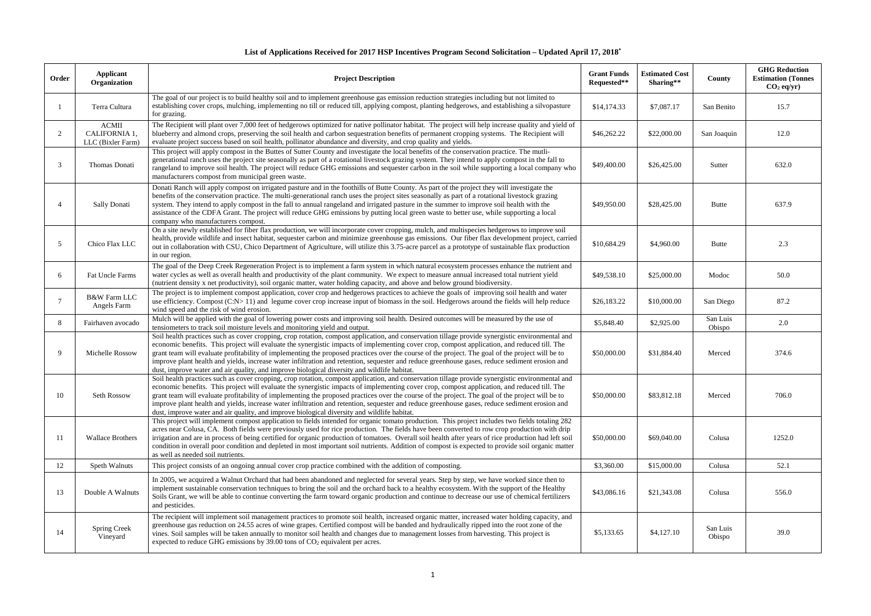## **List of Applications Received for 2017 HSP Incentives Program Second Solicitation – Updated April 17, 2018\***

| Order         | Applicant<br>Organization                          | <b>Project Description</b>                                                                                                                                                                                                                                                                                                                                                                                                                                                                                                                                                                                                                                                                            | <b>Grant Funds</b><br>Requested** | <b>Estimated Cost</b><br>Sharing** | County             | <b>GHG Reduction</b><br><b>Estimation (Tonnes</b><br>$CO2$ eq/yr) |
|---------------|----------------------------------------------------|-------------------------------------------------------------------------------------------------------------------------------------------------------------------------------------------------------------------------------------------------------------------------------------------------------------------------------------------------------------------------------------------------------------------------------------------------------------------------------------------------------------------------------------------------------------------------------------------------------------------------------------------------------------------------------------------------------|-----------------------------------|------------------------------------|--------------------|-------------------------------------------------------------------|
|               | Terra Cultura                                      | The goal of our project is to build healthy soil and to implement greenhouse gas emission reduction strategies including but not limited to<br>establishing cover crops, mulching, implementing no till or reduced till, applying compost, planting hedgerows, and establishing a silvopasture<br>for grazing.                                                                                                                                                                                                                                                                                                                                                                                        | \$14,174.33                       | \$7,087.17                         | San Benito         | 15.7                                                              |
| $\mathcal{L}$ | <b>ACMII</b><br>CALIFORNIA 1,<br>LLC (Bixler Farm) | The Recipient will plant over 7,000 feet of hedgerows optimized for native pollinator habitat. The project will help increase quality and yield of<br>blueberry and almond crops, preserving the soil health and carbon sequestration benefits of permanent cropping systems. The Recipient will<br>evaluate project success based on soil health, pollinator abundance and diversity, and crop quality and yields.                                                                                                                                                                                                                                                                                   | \$46,262.22                       | \$22,000.00                        | San Joaquin        | 12.0                                                              |
| $\mathcal{R}$ | Thomas Donati                                      | This project will apply compost in the Buttes of Sutter County and investigate the local benefits of the conservation practice. The mutli-<br>generational ranch uses the project site seasonally as part of a rotational livestock grazing system. They intend to apply compost in the fall to<br>rangeland to improve soil health. The project will reduce GHG emissions and sequester carbon in the soil while supporting a local company who<br>manufacturers compost from municipal green waste.                                                                                                                                                                                                 | \$49,400.00                       | \$26,425.00                        | Sutter             | 632.0                                                             |
|               | Sally Donati                                       | Donati Ranch will apply compost on irrigated pasture and in the foothills of Butte County. As part of the project they will investigate the<br>benefits of the conservation practice. The multi-generational ranch uses the project sites seasonally as part of a rotational livestock grazing<br>system. They intend to apply compost in the fall to annual rangeland and irrigated pasture in the summer to improve soil health with the<br>assistance of the CDFA Grant. The project will reduce GHG emissions by putting local green waste to better use, while supporting a local<br>company who manufacturers compost.                                                                          | \$49,950.00                       | \$28,425.00                        | <b>Butte</b>       | 637.9                                                             |
| 5             | Chico Flax LLC                                     | On a site newly established for fiber flax production, we will incorporate cover cropping, mulch, and multispecies hedgerows to improve soil<br>health, provide wildlife and insect habitat, sequester carbon and minimize greenhouse gas emissions. Our fiber flax development project, carried<br>out in collaboration with CSU, Chico Department of Agriculture, will utilize this 3.75-acre parcel as a prototype of sustainable flax production<br>in our region.                                                                                                                                                                                                                                | \$10,684.29                       | \$4,960.00                         | <b>Butte</b>       | 2.3                                                               |
| -6            | Fat Uncle Farms                                    | The goal of the Deep Creek Regeneration Project is to implement a farm system in which natural ecosystem processes enhance the nutrient and<br>water cycles as well as overall health and productivity of the plant community. We expect to measure annual increased total nutrient yield<br>(nutrient density x net productivity), soil organic matter, water holding capacity, and above and below ground biodiversity.                                                                                                                                                                                                                                                                             | \$49,538.10                       | \$25,000.00                        | Modoc              | 50.0                                                              |
|               | <b>B&amp;W Farm LLC</b><br>Angels Farm             | The project is to implement compost application, cover crop and hedgerows practices to achieve the goals of improving soil health and water<br>use efficiency. Compost (C:N>11) and legume cover crop increase input of biomass in the soil. Hedgerows around the fields will help reduce<br>wind speed and the risk of wind erosion.                                                                                                                                                                                                                                                                                                                                                                 | \$26,183.22                       | \$10,000.00                        | San Diego          | 87.2                                                              |
| 8             | Fairhaven avocado                                  | Mulch will be applied with the goal of lowering power costs and improving soil health. Desired outcomes will be measured by the use of<br>tensiometers to track soil moisture levels and monitoring yield and output.                                                                                                                                                                                                                                                                                                                                                                                                                                                                                 | \$5,848.40                        | \$2,925.00                         | San Luis<br>Obispo | 2.0                                                               |
| $\mathbf Q$   | Michelle Rossow                                    | Soil health practices such as cover cropping, crop rotation, compost application, and conservation tillage provide synergistic environmental and<br>economic benefits. This project will evaluate the synergistic impacts of implementing cover crop, compost application, and reduced till. The<br>grant team will evaluate profitability of implementing the proposed practices over the course of the project. The goal of the project will be to<br>improve plant health and yields, increase water infiltration and retention, sequester and reduce greenhouse gases, reduce sediment erosion and<br>dust, improve water and air quality, and improve biological diversity and wildlife habitat. | \$50,000.00                       | \$31,884.40                        | Merced             | 374.6                                                             |
| 10            | Seth Rossow                                        | Soil health practices such as cover cropping, crop rotation, compost application, and conservation tillage provide synergistic environmental and<br>economic benefits. This project will evaluate the synergistic impacts of implementing cover crop, compost application, and reduced till. The<br>grant team will evaluate profitability of implementing the proposed practices over the course of the project. The goal of the project will be to<br>improve plant health and yields, increase water infiltration and retention, sequester and reduce greenhouse gases, reduce sediment erosion and<br>dust, improve water and air quality, and improve biological diversity and wildlife habitat. | \$50,000.00                       | \$83,812.18                        | Merced             | 706.0                                                             |
| 11            | <b>Wallace Brothers</b>                            | This project will implement compost application to fields intended for organic tomato production. This project includes two fields totaling 282<br>acres near Colusa, CA. Both fields were previously used for rice production. The fields have been converted to row crop production with drip<br>irrigation and are in process of being certified for organic production of tomatoes. Overall soil health after years of rice production had left soil<br>condition in overall poor condition and depleted in most important soil nutrients. Addition of compost is expected to provide soil organic matter<br>as well as needed soil nutrients.                                                    | \$50,000.00                       | \$69,040.00                        | Colusa             | 1252.0                                                            |
| 12            | Speth Walnuts                                      | This project consists of an ongoing annual cover crop practice combined with the addition of composting.                                                                                                                                                                                                                                                                                                                                                                                                                                                                                                                                                                                              | \$3,360.00                        | \$15,000.00                        | Colusa             | 52.1                                                              |
| 13            | Double A Walnuts                                   | In 2005, we acquired a Walnut Orchard that had been abandoned and neglected for several years. Step by step, we have worked since then to<br>implement sustainable conservation techniques to bring the soil and the orchard back to a healthy ecosystem. With the support of the Healthy<br>Soils Grant, we will be able to continue converting the farm toward organic production and continue to decrease our use of chemical fertilizers<br>and pesticides.                                                                                                                                                                                                                                       | \$43,086.16                       | \$21,343.08                        | Colusa             | 556.0                                                             |
| 14            | <b>Spring Creek</b><br>Vineyard                    | The recipient will implement soil management practices to promote soil health, increased organic matter, increased water holding capacity, and<br>greenhouse gas reduction on 24.55 acres of wine grapes. Certified compost will be banded and hydraulically ripped into the root zone of the<br>vines. Soil samples will be taken annually to monitor soil health and changes due to management losses from harvesting. This project is<br>expected to reduce GHG emissions by 39.00 tons of $CO2$ equivalent per acres.                                                                                                                                                                             | \$5,133.65                        | \$4,127.10                         | San Luis<br>Obispo | 39.0                                                              |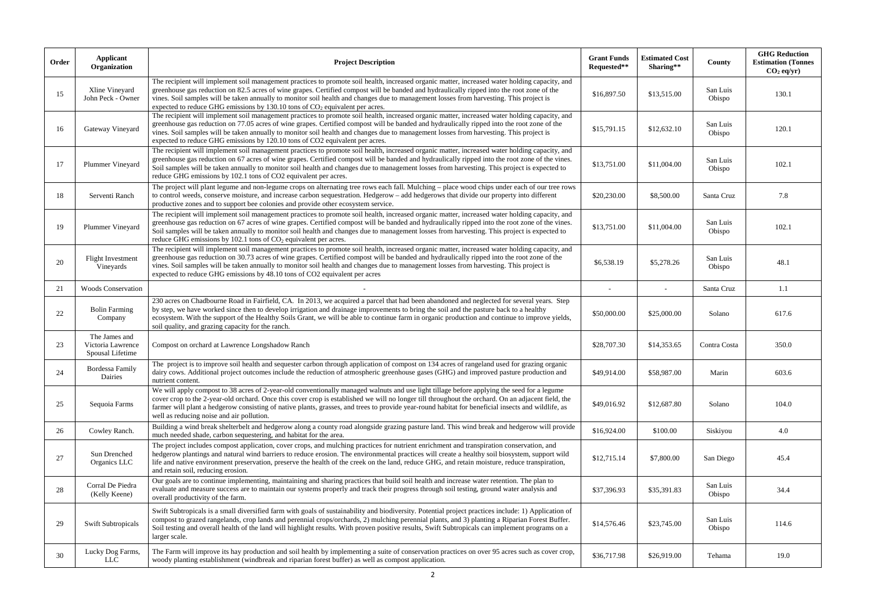| Order | Applicant<br>Organization                              | <b>Project Description</b>                                                                                                                                                                                                                                                                                                                                                                                                                                                                                                       | <b>Grant Funds</b><br>Requested** | <b>Estimated Cost</b><br>Sharing** | County             | <b>GHG Reduction</b><br><b>Estimation (Tonnes</b><br>$CO2$ eq/yr) |
|-------|--------------------------------------------------------|----------------------------------------------------------------------------------------------------------------------------------------------------------------------------------------------------------------------------------------------------------------------------------------------------------------------------------------------------------------------------------------------------------------------------------------------------------------------------------------------------------------------------------|-----------------------------------|------------------------------------|--------------------|-------------------------------------------------------------------|
| 15    | Xline Vineyard<br>John Peck - Owner                    | The recipient will implement soil management practices to promote soil health, increased organic matter, increased water holding capacity, and<br>greenhouse gas reduction on 82.5 acres of wine grapes. Certified compost will be banded and hydraulically ripped into the root zone of the<br>vines. Soil samples will be taken annually to monitor soil health and changes due to management losses from harvesting. This project is<br>expected to reduce GHG emissions by 130.10 tons of $CO2$ equivalent per acres.        | \$16,897.50                       | \$13,515.00                        | San Luis<br>Obispo | 130.1                                                             |
| 16    | Gateway Vineyard                                       | The recipient will implement soil management practices to promote soil health, increased organic matter, increased water holding capacity, and<br>greenhouse gas reduction on 77.05 acres of wine grapes. Certified compost will be banded and hydraulically ripped into the root zone of the<br>vines. Soil samples will be taken annually to monitor soil health and changes due to management losses from harvesting. This project is<br>expected to reduce GHG emissions by 120.10 tons of CO2 equivalent per acres.         | \$15,791.15                       | \$12,632.10                        | San Luis<br>Obispo | 120.1                                                             |
| 17    | Plummer Vineyard                                       | The recipient will implement soil management practices to promote soil health, increased organic matter, increased water holding capacity, and<br>greenhouse gas reduction on 67 acres of wine grapes. Certified compost will be banded and hydraulically ripped into the root zone of the vines.<br>Soil samples will be taken annually to monitor soil health and changes due to management losses from harvesting. This project is expected to<br>reduce GHG emissions by 102.1 tons of CO2 equivalent per acres.             | \$13,751.00                       | \$11,004.00                        | San Luis<br>Obispo | 102.1                                                             |
| 18    | Serventi Ranch                                         | The project will plant legume and non-legume crops on alternating tree rows each fall. Mulching – place wood chips under each of our tree rows<br>to control weeds, conserve moisture, and increase carbon sequestration. Hedgerow – add hedgerows that divide our property into different<br>productive zones and to support bee colonies and provide other ecosystem service.                                                                                                                                                  | \$20,230.00                       | \$8,500.00                         | Santa Cruz         | 7.8                                                               |
| 19    | Plummer Vineyard                                       | The recipient will implement soil management practices to promote soil health, increased organic matter, increased water holding capacity, and<br>greenhouse gas reduction on 67 acres of wine grapes. Certified compost will be banded and hydraulically ripped into the root zone of the vines.<br>Soil samples will be taken annually to monitor soil health and changes due to management losses from harvesting. This project is expected to<br>reduce GHG emissions by 102.1 tons of CO <sub>2</sub> equivalent per acres. | \$13,751.00                       | \$11,004.00                        | San Luis<br>Obispo | 102.1                                                             |
| 20    | <b>Flight Investment</b><br>Vineyards                  | The recipient will implement soil management practices to promote soil health, increased organic matter, increased water holding capacity, and<br>greenhouse gas reduction on 30.73 acres of wine grapes. Certified compost will be banded and hydraulically ripped into the root zone of the<br>vines. Soil samples will be taken annually to monitor soil health and changes due to management losses from harvesting. This project is<br>expected to reduce GHG emissions by 48.10 tons of CO2 equivalent per acres           | \$6,538.19                        | \$5,278.26                         | San Luis<br>Obispo | 48.1                                                              |
| 21    | <b>Woods Conservation</b>                              |                                                                                                                                                                                                                                                                                                                                                                                                                                                                                                                                  | $\sim$                            |                                    | Santa Cruz         | 1.1                                                               |
| 22    | <b>Bolin Farming</b><br>Company                        | 230 acres on Chadbourne Road in Fairfield, CA. In 2013, we acquired a parcel that had been abandoned and neglected for several years. Step<br>by step, we have worked since then to develop irrigation and drainage improvements to bring the soil and the pasture back to a healthy<br>ecosystem. With the support of the Healthy Soils Grant, we will be able to continue farm in organic production and continue to improve yields,<br>soil quality, and grazing capacity for the ranch.                                      | \$50,000.00                       | \$25,000.00                        | Solano             | 617.6                                                             |
| 23    | The James and<br>Victoria Lawrence<br>Spousal Lifetime | Compost on orchard at Lawrence Longshadow Ranch                                                                                                                                                                                                                                                                                                                                                                                                                                                                                  | \$28,707.30                       | \$14,353.65                        | Contra Costa       | 350.0                                                             |
| 24    | Bordessa Family<br>Dairies                             | The project is to improve soil health and sequester carbon through application of compost on 134 acres of rangeland used for grazing organic<br>dairy cows. Additional project outcomes include the reduction of atmospheric greenhouse gases (GHG) and improved pasture production and<br>nutrient content.                                                                                                                                                                                                                     | \$49,914.00                       | \$58,987.00                        | Marin              | 603.6                                                             |
| 25    | Sequoia Farms                                          | We will apply compost to 38 acres of 2-year-old conventionally managed walnuts and use light tillage before applying the seed for a legume<br>cover crop to the 2-year-old orchard. Once this cover crop is established we will no longer till throughout the orchard. On an adjacent field, the<br>farmer will plant a hedgerow consisting of native plants, grasses, and trees to provide year-round habitat for beneficial insects and wildlife, as<br>well as reducing noise and air pollution.                              | \$49,016.92                       | \$12,687.80                        | Solano             | 104.0                                                             |
| 26    | Cowley Ranch.                                          | Building a wind break shelterbelt and hedgerow along a county road alongside grazing pasture land. This wind break and hedgerow will provide<br>much needed shade, carbon sequestering, and habitat for the area.                                                                                                                                                                                                                                                                                                                | \$16,924.00                       | \$100.00                           | Siskiyou           | 4.0                                                               |
| 27    | Sun Drenched<br>Organics LLC                           | The project includes compost application, cover crops, and mulching practices for nutrient enrichment and transpiration conservation, and<br>hedgerow plantings and natural wind barriers to reduce erosion. The environmental practices will create a healthy soil biosystem, support wild<br>life and native environment preservation, preserve the health of the creek on the land, reduce GHG, and retain moisture, reduce transpiration,<br>and retain soil, reducing erosion.                                              | \$12,715.14                       | \$7,800.00                         | San Diego          | 45.4                                                              |
| 28    | Corral De Piedra<br>(Kelly Keene)                      | Our goals are to continue implementing, maintaining and sharing practices that build soil health and increase water retention. The plan to<br>evaluate and measure success are to maintain our systems properly and track their progress through soil testing, ground water analysis and<br>overall productivity of the farm.                                                                                                                                                                                                    | \$37,396.93                       | \$35,391.83                        | San Luis<br>Obispo | 34.4                                                              |
| 29    | <b>Swift Subtropicals</b>                              | Swift Subtropicals is a small diversified farm with goals of sustainability and biodiversity. Potential project practices include: 1) Application of<br>compost to grazed rangelands, crop lands and perennial crops/orchards, 2) mulching perennial plants, and 3) planting a Riparian Forest Buffer.<br>Soil testing and overall health of the land will highlight results. With proven positive results, Swift Subtropicals can implement programs on a<br>larger scale.                                                      | \$14,576.46                       | \$23,745.00                        | San Luis<br>Obispo | 114.6                                                             |
| 30    | Lucky Dog Farms,<br><b>LLC</b>                         | The Farm will improve its hay production and soil health by implementing a suite of conservation practices on over 95 acres such as cover crop,<br>woody planting establishment (windbreak and riparian forest buffer) as well as compost application.                                                                                                                                                                                                                                                                           | \$36,717.98                       | \$26,919.00                        | Tehama             | 19.0                                                              |